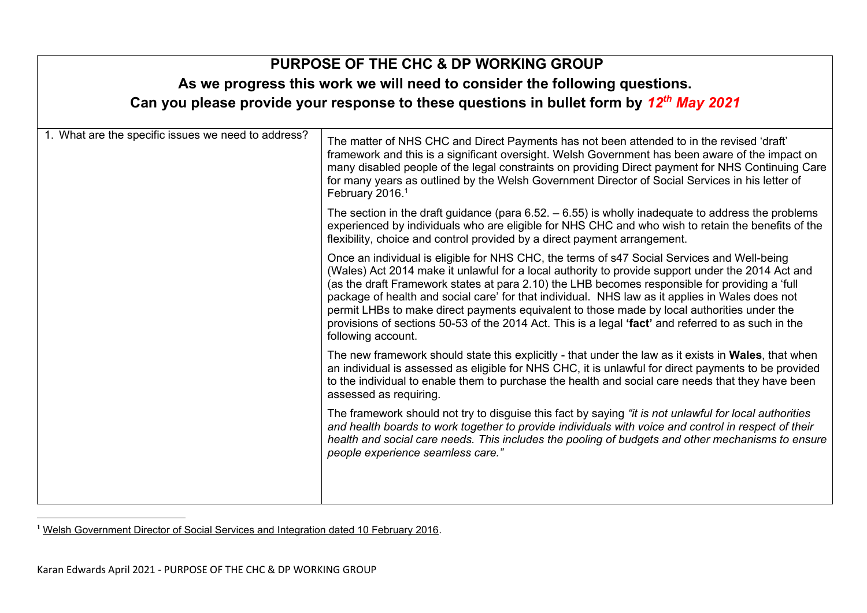| <b>PURPOSE OF THE CHC &amp; DP WORKING GROUP</b><br>As we progress this work we will need to consider the following questions.<br>Can you please provide your response to these questions in bullet form by 12 <sup>th</sup> May 2021 |                                                                                                                                                                                                                                                                                                                                                                                                                                                                                                                                                                                                                                   |  |  |
|---------------------------------------------------------------------------------------------------------------------------------------------------------------------------------------------------------------------------------------|-----------------------------------------------------------------------------------------------------------------------------------------------------------------------------------------------------------------------------------------------------------------------------------------------------------------------------------------------------------------------------------------------------------------------------------------------------------------------------------------------------------------------------------------------------------------------------------------------------------------------------------|--|--|
| 1. What are the specific issues we need to address?                                                                                                                                                                                   | The matter of NHS CHC and Direct Payments has not been attended to in the revised 'draft'<br>framework and this is a significant oversight. Welsh Government has been aware of the impact on<br>many disabled people of the legal constraints on providing Direct payment for NHS Continuing Care<br>for many years as outlined by the Welsh Government Director of Social Services in his letter of<br>February 2016. <sup>1</sup>                                                                                                                                                                                               |  |  |
|                                                                                                                                                                                                                                       | The section in the draft guidance (para $6.52. - 6.55$ ) is wholly inadequate to address the problems<br>experienced by individuals who are eligible for NHS CHC and who wish to retain the benefits of the<br>flexibility, choice and control provided by a direct payment arrangement.                                                                                                                                                                                                                                                                                                                                          |  |  |
|                                                                                                                                                                                                                                       | Once an individual is eligible for NHS CHC, the terms of s47 Social Services and Well-being<br>(Wales) Act 2014 make it unlawful for a local authority to provide support under the 2014 Act and<br>(as the draft Framework states at para 2.10) the LHB becomes responsible for providing a 'full<br>package of health and social care' for that individual. NHS law as it applies in Wales does not<br>permit LHBs to make direct payments equivalent to those made by local authorities under the<br>provisions of sections 50-53 of the 2014 Act. This is a legal 'fact' and referred to as such in the<br>following account. |  |  |
|                                                                                                                                                                                                                                       | The new framework should state this explicitly - that under the law as it exists in <b>Wales</b> , that when<br>an individual is assessed as eligible for NHS CHC, it is unlawful for direct payments to be provided<br>to the individual to enable them to purchase the health and social care needs that they have been<br>assessed as requiring.                                                                                                                                                                                                                                                                               |  |  |
|                                                                                                                                                                                                                                       | The framework should not try to disguise this fact by saying "it is not unlawful for local authorities<br>and health boards to work together to provide individuals with voice and control in respect of their<br>health and social care needs. This includes the pooling of budgets and other mechanisms to ensure<br>people experience seamless care."                                                                                                                                                                                                                                                                          |  |  |
|                                                                                                                                                                                                                                       |                                                                                                                                                                                                                                                                                                                                                                                                                                                                                                                                                                                                                                   |  |  |

**<sup>1</sup>** [Welsh Government Director of Social Services and Integration dated 10 February 2016.](http://www.lukeclements.co.uk/wp-content/uploads/2020/02/Heaney-letter-.pdf)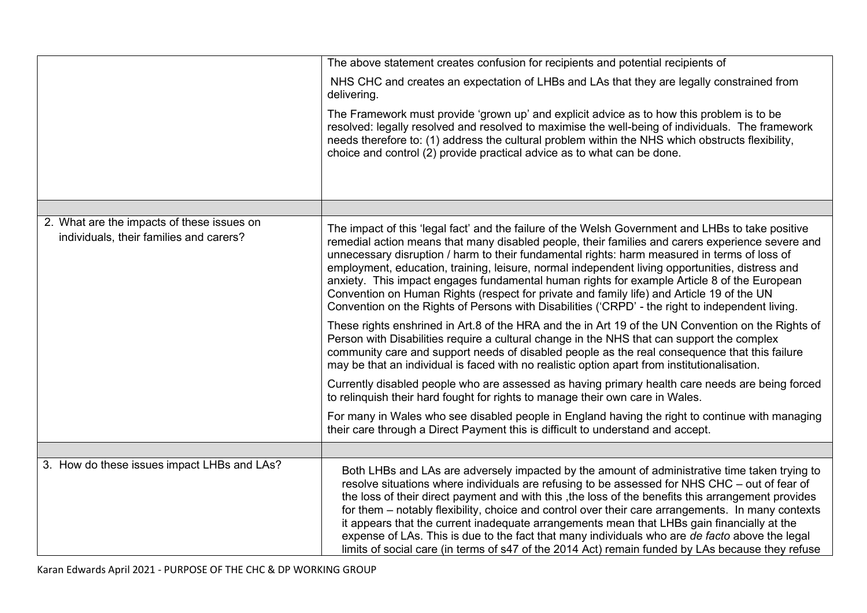|                                                                                       | The above statement creates confusion for recipients and potential recipients of                                                                                                                                                                                                                                                                                                                                                                                                                                                                                                                                                                                                                               |
|---------------------------------------------------------------------------------------|----------------------------------------------------------------------------------------------------------------------------------------------------------------------------------------------------------------------------------------------------------------------------------------------------------------------------------------------------------------------------------------------------------------------------------------------------------------------------------------------------------------------------------------------------------------------------------------------------------------------------------------------------------------------------------------------------------------|
|                                                                                       | NHS CHC and creates an expectation of LHBs and LAs that they are legally constrained from<br>delivering.                                                                                                                                                                                                                                                                                                                                                                                                                                                                                                                                                                                                       |
|                                                                                       | The Framework must provide 'grown up' and explicit advice as to how this problem is to be<br>resolved: legally resolved and resolved to maximise the well-being of individuals. The framework<br>needs therefore to: (1) address the cultural problem within the NHS which obstructs flexibility,<br>choice and control (2) provide practical advice as to what can be done.                                                                                                                                                                                                                                                                                                                                   |
|                                                                                       |                                                                                                                                                                                                                                                                                                                                                                                                                                                                                                                                                                                                                                                                                                                |
| 2. What are the impacts of these issues on<br>individuals, their families and carers? | The impact of this 'legal fact' and the failure of the Welsh Government and LHBs to take positive<br>remedial action means that many disabled people, their families and carers experience severe and<br>unnecessary disruption / harm to their fundamental rights: harm measured in terms of loss of<br>employment, education, training, leisure, normal independent living opportunities, distress and<br>anxiety. This impact engages fundamental human rights for example Article 8 of the European<br>Convention on Human Rights (respect for private and family life) and Article 19 of the UN<br>Convention on the Rights of Persons with Disabilities ('CRPD' - the right to independent living.       |
|                                                                                       | These rights enshrined in Art.8 of the HRA and the in Art 19 of the UN Convention on the Rights of<br>Person with Disabilities require a cultural change in the NHS that can support the complex<br>community care and support needs of disabled people as the real consequence that this failure<br>may be that an individual is faced with no realistic option apart from institutionalisation.                                                                                                                                                                                                                                                                                                              |
|                                                                                       | Currently disabled people who are assessed as having primary health care needs are being forced<br>to relinguish their hard fought for rights to manage their own care in Wales.                                                                                                                                                                                                                                                                                                                                                                                                                                                                                                                               |
|                                                                                       | For many in Wales who see disabled people in England having the right to continue with managing<br>their care through a Direct Payment this is difficult to understand and accept.                                                                                                                                                                                                                                                                                                                                                                                                                                                                                                                             |
|                                                                                       |                                                                                                                                                                                                                                                                                                                                                                                                                                                                                                                                                                                                                                                                                                                |
| 3. How do these issues impact LHBs and LAs?                                           | Both LHBs and LAs are adversely impacted by the amount of administrative time taken trying to<br>resolve situations where individuals are refusing to be assessed for NHS CHC - out of fear of<br>the loss of their direct payment and with this , the loss of the benefits this arrangement provides<br>for them - notably flexibility, choice and control over their care arrangements. In many contexts<br>it appears that the current inadequate arrangements mean that LHBs gain financially at the<br>expense of LAs. This is due to the fact that many individuals who are de facto above the legal<br>limits of social care (in terms of s47 of the 2014 Act) remain funded by LAs because they refuse |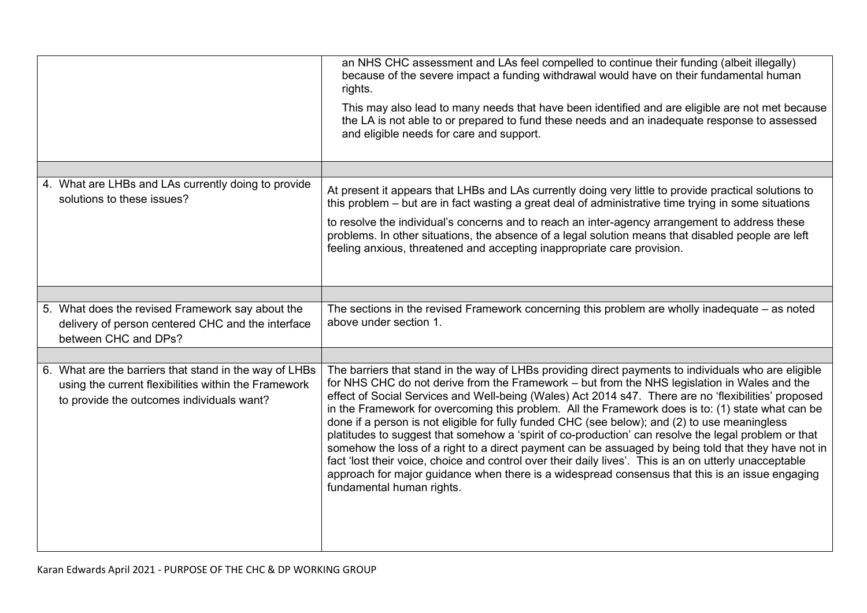|                                                                                                                                                             | an NHS CHC assessment and LAs feel compelled to continue their funding (albeit illegally)<br>because of the severe impact a funding withdrawal would have on their fundamental human<br>rights.<br>This may also lead to many needs that have been identified and are eligible are not met because<br>the LA is not able to or prepared to fund these needs and an inadequate response to assessed<br>and eligible needs for care and support.                                                                                                                                                                                                                                                                                                                                                                                                                                                                                                                              |
|-------------------------------------------------------------------------------------------------------------------------------------------------------------|-----------------------------------------------------------------------------------------------------------------------------------------------------------------------------------------------------------------------------------------------------------------------------------------------------------------------------------------------------------------------------------------------------------------------------------------------------------------------------------------------------------------------------------------------------------------------------------------------------------------------------------------------------------------------------------------------------------------------------------------------------------------------------------------------------------------------------------------------------------------------------------------------------------------------------------------------------------------------------|
|                                                                                                                                                             |                                                                                                                                                                                                                                                                                                                                                                                                                                                                                                                                                                                                                                                                                                                                                                                                                                                                                                                                                                             |
| 4. What are LHBs and LAs currently doing to provide<br>solutions to these issues?                                                                           | At present it appears that LHBs and LAs currently doing very little to provide practical solutions to<br>this problem – but are in fact wasting a great deal of administrative time trying in some situations<br>to resolve the individual's concerns and to reach an inter-agency arrangement to address these<br>problems. In other situations, the absence of a legal solution means that disabled people are left<br>feeling anxious, threatened and accepting inappropriate care provision.                                                                                                                                                                                                                                                                                                                                                                                                                                                                            |
|                                                                                                                                                             |                                                                                                                                                                                                                                                                                                                                                                                                                                                                                                                                                                                                                                                                                                                                                                                                                                                                                                                                                                             |
|                                                                                                                                                             |                                                                                                                                                                                                                                                                                                                                                                                                                                                                                                                                                                                                                                                                                                                                                                                                                                                                                                                                                                             |
| 5. What does the revised Framework say about the<br>delivery of person centered CHC and the interface<br>between CHC and DPs?                               | The sections in the revised Framework concerning this problem are wholly inadequate $-$ as noted<br>above under section 1.                                                                                                                                                                                                                                                                                                                                                                                                                                                                                                                                                                                                                                                                                                                                                                                                                                                  |
|                                                                                                                                                             |                                                                                                                                                                                                                                                                                                                                                                                                                                                                                                                                                                                                                                                                                                                                                                                                                                                                                                                                                                             |
| 6. What are the barriers that stand in the way of LHBs<br>using the current flexibilities within the Framework<br>to provide the outcomes individuals want? | The barriers that stand in the way of LHBs providing direct payments to individuals who are eligible<br>for NHS CHC do not derive from the Framework - but from the NHS legislation in Wales and the<br>effect of Social Services and Well-being (Wales) Act 2014 s47. There are no 'flexibilities' proposed<br>in the Framework for overcoming this problem. All the Framework does is to: (1) state what can be<br>done if a person is not eligible for fully funded CHC (see below); and (2) to use meaningless<br>platitudes to suggest that somehow a 'spirit of co-production' can resolve the legal problem or that<br>somehow the loss of a right to a direct payment can be assuaged by being told that they have not in<br>fact 'lost their voice, choice and control over their daily lives'. This is an on utterly unacceptable<br>approach for major guidance when there is a widespread consensus that this is an issue engaging<br>fundamental human rights. |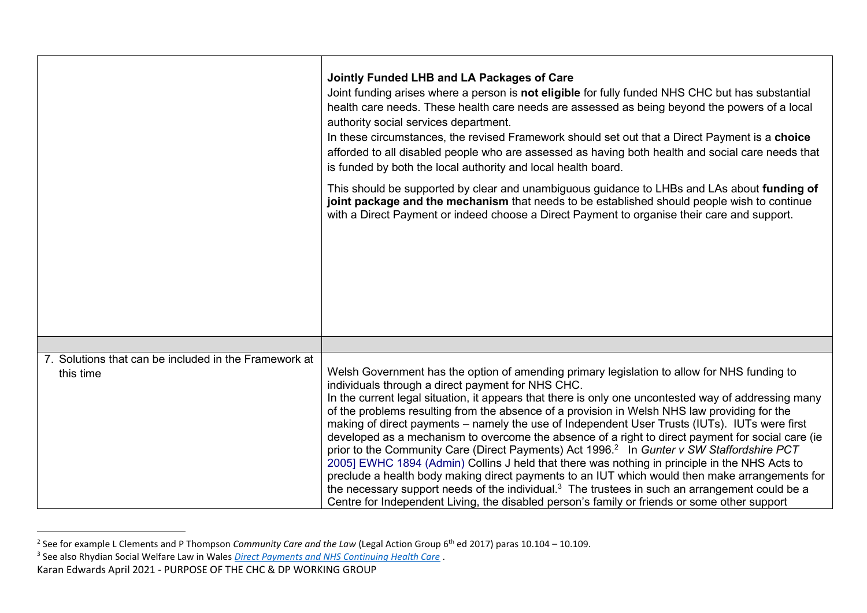|                                                                    | Jointly Funded LHB and LA Packages of Care<br>Joint funding arises where a person is not eligible for fully funded NHS CHC but has substantial<br>health care needs. These health care needs are assessed as being beyond the powers of a local<br>authority social services department.<br>In these circumstances, the revised Framework should set out that a Direct Payment is a choice<br>afforded to all disabled people who are assessed as having both health and social care needs that<br>is funded by both the local authority and local health board.<br>This should be supported by clear and unambiguous guidance to LHBs and LAs about funding of<br>joint package and the mechanism that needs to be established should people wish to continue<br>with a Direct Payment or indeed choose a Direct Payment to organise their care and support.                                                                                                                                                                                                                            |
|--------------------------------------------------------------------|------------------------------------------------------------------------------------------------------------------------------------------------------------------------------------------------------------------------------------------------------------------------------------------------------------------------------------------------------------------------------------------------------------------------------------------------------------------------------------------------------------------------------------------------------------------------------------------------------------------------------------------------------------------------------------------------------------------------------------------------------------------------------------------------------------------------------------------------------------------------------------------------------------------------------------------------------------------------------------------------------------------------------------------------------------------------------------------|
|                                                                    |                                                                                                                                                                                                                                                                                                                                                                                                                                                                                                                                                                                                                                                                                                                                                                                                                                                                                                                                                                                                                                                                                          |
| 7. Solutions that can be included in the Framework at<br>this time | Welsh Government has the option of amending primary legislation to allow for NHS funding to<br>individuals through a direct payment for NHS CHC.<br>In the current legal situation, it appears that there is only one uncontested way of addressing many<br>of the problems resulting from the absence of a provision in Welsh NHS law providing for the<br>making of direct payments – namely the use of Independent User Trusts (IUTs). IUTs were first<br>developed as a mechanism to overcome the absence of a right to direct payment for social care (ie<br>prior to the Community Care (Direct Payments) Act 1996. <sup>2</sup> In Gunter v SW Staffordshire PCT<br>2005] EWHC 1894 (Admin) Collins J held that there was nothing in principle in the NHS Acts to<br>preclude a health body making direct payments to an IUT which would then make arrangements for<br>the necessary support needs of the individual. <sup>3</sup> The trustees in such an arrangement could be a<br>Centre for Independent Living, the disabled person's family or friends or some other support |

<sup>2</sup> See for example L Clements and P Thompson *Community Care and the Law* (Legal Action Group 6th ed 2017) paras 10.104 – 10.109.

<sup>3</sup> See also Rhydian Social Welfare Law in Wales *[Direct Payments and NHS Continuing Health Care](http://www.lukeclements.co.uk/direct-payments-and-nhs-continuing-health-care/)* .

Karan Edwards April 2021 - PURPOSE OF THE CHC & DP WORKING GROUP